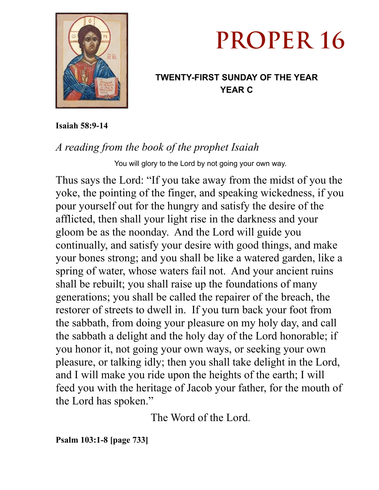

# **PROPER 16**

## **TWENTY-FIRST SUNDAY OF THE YEAR YEAR C**

**Isaiah 58:9-14** 

# *A reading from the book of the prophet Isaiah*

You will glory to the Lord by not going your own way.

Thus says the Lord: "If you take away from the midst of you the yoke, the pointing of the finger, and speaking wickedness, if you pour yourself out for the hungry and satisfy the desire of the afflicted, then shall your light rise in the darkness and your gloom be as the noonday. And the Lord will guide you continually, and satisfy your desire with good things, and make your bones strong; and you shall be like a watered garden, like a spring of water, whose waters fail not. And your ancient ruins shall be rebuilt; you shall raise up the foundations of many generations; you shall be called the repairer of the breach, the restorer of streets to dwell in. If you turn back your foot from the sabbath, from doing your pleasure on my holy day, and call the sabbath a delight and the holy day of the Lord honorable; if you honor it, not going your own ways, or seeking your own pleasure, or talking idly; then you shall take delight in the Lord, and I will make you ride upon the heights of the earth; I will feed you with the heritage of Jacob your father, for the mouth of the Lord has spoken."

The Word of the Lord.

**Psalm 103:1-8 [page 733]**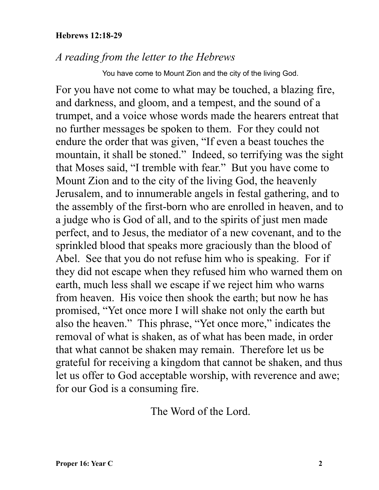#### **Hebrews 12:18-29**

### *A reading from the letter to the Hebrews*

You have come to Mount Zion and the city of the living God.

For you have not come to what may be touched, a blazing fire, and darkness, and gloom, and a tempest, and the sound of a trumpet, and a voice whose words made the hearers entreat that no further messages be spoken to them. For they could not endure the order that was given, "If even a beast touches the mountain, it shall be stoned." Indeed, so terrifying was the sight that Moses said, "I tremble with fear." But you have come to Mount Zion and to the city of the living God, the heavenly Jerusalem, and to innumerable angels in festal gathering, and to the assembly of the first-born who are enrolled in heaven, and to a judge who is God of all, and to the spirits of just men made perfect, and to Jesus, the mediator of a new covenant, and to the sprinkled blood that speaks more graciously than the blood of Abel. See that you do not refuse him who is speaking. For if they did not escape when they refused him who warned them on earth, much less shall we escape if we reject him who warns from heaven. His voice then shook the earth; but now he has promised, "Yet once more I will shake not only the earth but also the heaven." This phrase, "Yet once more," indicates the removal of what is shaken, as of what has been made, in order that what cannot be shaken may remain. Therefore let us be grateful for receiving a kingdom that cannot be shaken, and thus let us offer to God acceptable worship, with reverence and awe; for our God is a consuming fire.

The Word of the Lord.